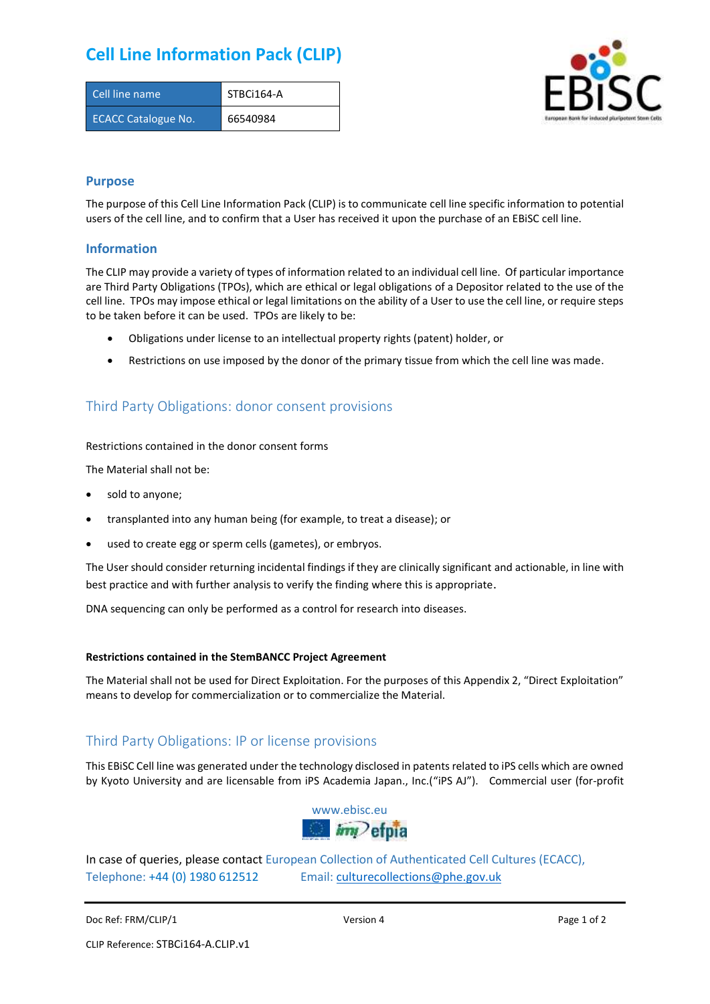# **Cell Line Information Pack (CLIP)**

| Cell line name             | STBCi164-A |
|----------------------------|------------|
| <b>ECACC Catalogue No.</b> | 66540984   |



### **Purpose**

The purpose of this Cell Line Information Pack (CLIP) is to communicate cell line specific information to potential users of the cell line, and to confirm that a User has received it upon the purchase of an EBiSC cell line.

### **Information**

The CLIP may provide a variety of types of information related to an individual cell line. Of particular importance are Third Party Obligations (TPOs), which are ethical or legal obligations of a Depositor related to the use of the cell line. TPOs may impose ethical or legal limitations on the ability of a User to use the cell line, or require steps to be taken before it can be used. TPOs are likely to be:

- Obligations under license to an intellectual property rights (patent) holder, or
- Restrictions on use imposed by the donor of the primary tissue from which the cell line was made.

## Third Party Obligations: donor consent provisions

#### Restrictions contained in the donor consent forms

The Material shall not be:

- sold to anyone;
- transplanted into any human being (for example, to treat a disease); or
- used to create egg or sperm cells (gametes), or embryos.

The User should consider returning incidental findings if they are clinically significant and actionable, in line with best practice and with further analysis to verify the finding where this is appropriate.

DNA sequencing can only be performed as a control for research into diseases.

#### **Restrictions contained in the StemBANCC Project Agreement**

The Material shall not be used for Direct Exploitation. For the purposes of this Appendix 2, "Direct Exploitation" means to develop for commercialization or to commercialize the Material.

## Third Party Obligations: IP or license provisions

This EBiSC Cell line was generated under the technology disclosed in patents related to iPS cells which are owned by Kyoto University and are licensable from iPS Academia Japan., Inc.("iPS AJ"). Commercial user (for-profit



In case of queries, please contact European Collection of Authenticated Cell Cultures (ECACC), Telephone: +44 (0) 1980 612512 Email: [culturecollections@phe.gov.uk](mailto:culturecollections@phe.gov.uk)